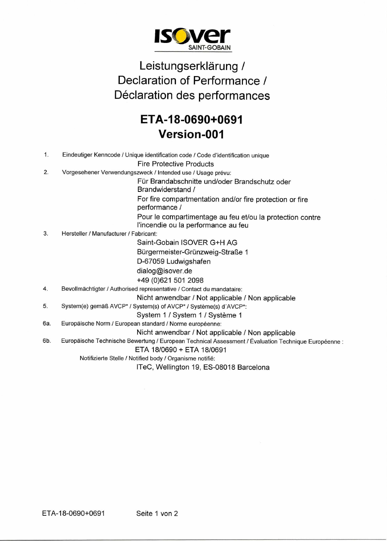

## Leistungserklärung / Declaration of Performance / Déclaration des performances

## **ETA-18-0690+0691 Version-001**

| $\mathbf{1}$ . | Eindeutiger Kenncode / Unique identification code / Code d'identification unique                     |
|----------------|------------------------------------------------------------------------------------------------------|
|                | <b>Fire Protective Products</b>                                                                      |
| 2.             |                                                                                                      |
|                | Vorgesehener Verwendungszweck / Intended use / Usage prévu:                                          |
|                | Für Brandabschnitte und/oder Brandschutz oder<br>Brandwiderstand /                                   |
|                | For fire compartmentation and/or fire protection or fire<br>performance /                            |
|                | Pour le compartimentage au feu et/ou la protection contre                                            |
|                | l'incendie ou la performance au feu                                                                  |
| 3.             | Hersteller / Manufacturer / Fabricant:                                                               |
|                | Saint-Gobain ISOVER G+H AG                                                                           |
|                | Bürgermeister-Grünzweig-Straße 1                                                                     |
|                | D-67059 Ludwigshafen                                                                                 |
|                | dialog@isover.de                                                                                     |
|                | +49 (0)621 501 2098                                                                                  |
| 4.             | Bevollmächtigter / Authorised representative / Contact du mandataire:                                |
|                | Nicht anwendbar / Not applicable / Non applicable                                                    |
| 5.             | System(e) gemäß AVCP* / System(s) of AVCP* / Système(s) d'AVCP*:                                     |
|                | System 1 / System 1 / Système 1                                                                      |
| 6а.            | Europäische Norm / European standard / Norme européenne:                                             |
|                | Nicht anwendbar / Not applicable / Non applicable                                                    |
| 6b.            | Europäische Technische Bewertung / European Technical Assessment / Évaluation Technique Européenne : |
|                | ETA 18/0690 + ETA 18/0691                                                                            |
|                | Notifizierte Stelle / Notified body / Organisme notifié:                                             |
|                | ITeC, Wellington 19, ES-08018 Barcelona                                                              |